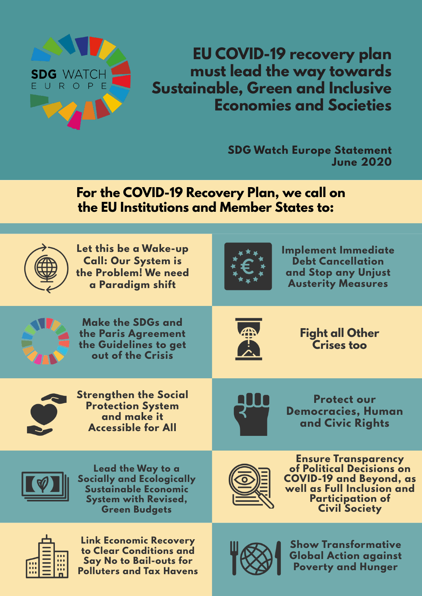

**EU COVID-19 recovery plan must lead the way towards Sustainable, Green and Inclusive Economies and Societies**

> **SDG Watch Europe Statement June 2020**

**For the COVID-19 Recovery Plan, we call on the EU Institutions and Member States to:**

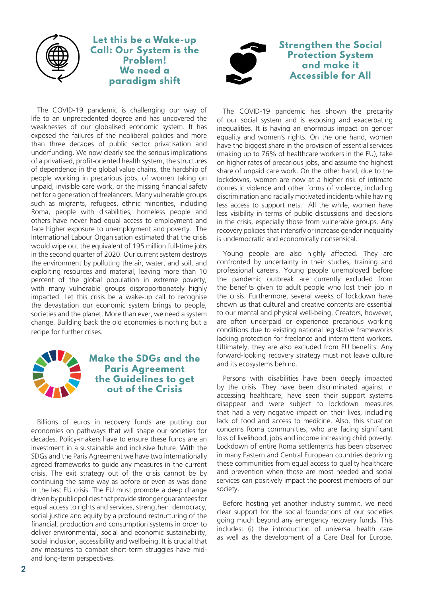

**Let this be a Wake-up Call: Our System is the Problem! We need a paradigm shift**



**Strengthen the Social Protection System and make it Accessible for All**

The COVID-19 pandemic is challenging our way of life to an unprecedented degree and has uncovered the weaknesses of our globalised economic system. It has exposed the failures of the neoliberal policies and more than three decades of public sector privatisation and underfunding. We now clearly see the serious implications of a privatised, profit-oriented health system, the structures of dependence in the global value chains, the hardship of people working in precarious jobs, of women taking on unpaid, invisible care work, or the missing financial safety net for a generation of freelancers. Many vulnerable groups such as migrants, refugees, ethnic minorities, including Roma, people with disabilities, homeless people and others have never had equal access to employment and face higher exposure to unemployment and poverty. The International Labour Organisation estimated that the crisis would wipe out the equivalent of 195 million full-time jobs in the second quarter of 2020. Our current system destroys the environment by polluting the air, water, and soil, and exploiting resources and material, leaving more than 10 percent of the global population in extreme poverty, with many vulnerable groups disproportionately highly impacted. Let this crisis be a wake-up call to recognise the devastation our economic system brings to people, societies and the planet. More than ever, we need a system change. Building back the old economies is nothing but a recipe for further crises.



Billions of euros in recovery funds are putting our economies on pathways that will shape our societies for decades. Policy-makers have to ensure these funds are an investment in a sustainable and inclusive future. With the SDGs and the Paris Agreement we have two internationally agreed frameworks to guide any measures in the current crisis. The exit strategy out of the crisis cannot be by continuing the same way as before or even as was done in the last EU crisis. The EU must promote a deep change driven by public policies that provide stronger guarantees for equal access to rights and services, strengthen democracy, social justice and equity by a profound restructuring of the financial, production and consumption systems in order to deliver environmental, social and economic sustainability, social inclusion, accessibility and wellbeing. It is crucial that any measures to combat short-term struggles have midand long-term perspectives.

The COVID-19 pandemic has shown the precarity of our social system and is exposing and exacerbating inequalities. It is having an enormous impact on gender equality and women's rights. On the one hand, women have the biggest share in the provision of essential services (making up to 76% of healthcare workers in the EU), take on higher rates of precarious jobs, and assume the highest share of unpaid care work. On the other hand, due to the lockdowns, women are now at a higher risk of intimate domestic violence and other forms of violence, including discrimination and racially motivated incidents while having less access to support nets. All the while, women have less visibility in terms of public discussions and decisions in the crisis, especially those from vulnerable groups. Any recovery policies that intensify or increase gender inequality is undemocratic and economically nonsensical.

Young people are also highly affected. They are confronted by uncertainty in their studies, training and professional careers. Young people unemployed before the pandemic outbreak are currently excluded from the benefits given to adult people who lost their job in the crisis. Furthermore, several weeks of lockdown have shown us that cultural and creative contents are essential to our mental and physical well-being. Creators, however, are often underpaid or experience precarious working conditions due to existing national legislative frameworks lacking protection for freelance and intermittent workers. Ultimately, they are also excluded from EU benefits. Any forward-looking recovery strategy must not leave culture and its ecosystems behind.

Persons with disabilities have been deeply impacted by the crisis. They have been discriminated against in accessing healthcare, have seen their support systems disappear and were subject to lockdown measures that had a very negative impact on their lives, including lack of food and access to medicine. Also, this situation concerns Roma communities, who are facing significant loss of livelihood, jobs and income increasing child poverty. Lockdown of entire Roma settlements has been observed in many Eastern and Central European countries depriving these communities from equal access to quality healthcare and prevention when those are most needed and social services can positively impact the poorest members of our society.

Before hosting yet another industry summit, we need clear support for the social foundations of our societies going much beyond any emergency recovery funds. This includes: (i) the introduction of universal health care as well as the development of a Care Deal for Europe.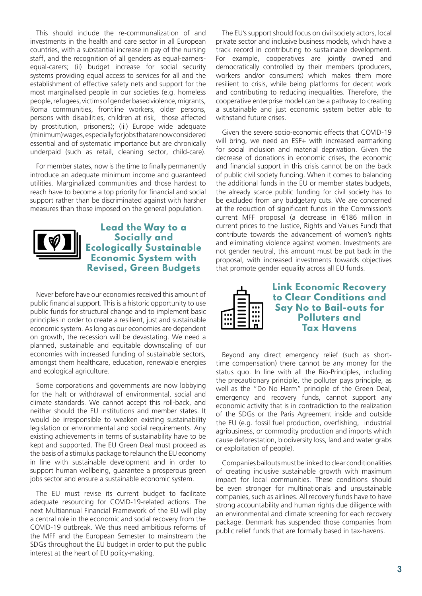This should include the re-communalization of and investments in the health and care sector in all European countries, with a substantial increase in pay of the nursing staff, and the recognition of all genders as equal-earnersequal-carers; (ii) budget increase for social security systems providing equal access to services for all and the establishment of effective safety nets and support for the most marginalised people in our societies (e.g. homeless people, refugees, victims of gender based violence, migrants, Roma communities, frontline workers, older persons, persons with disabilities, children at risk, those affected by prostitution, prisoners); (iii) Europe wide adequate (minimum) wages, especially for jobs that are now considered essential and of systematic importance but are chronically underpaid (such as retail, cleaning sector, child-care).

For member states, now is the time to finally permanently introduce an adequate minimum income and guaranteed utilities. Marginalized communities and those hardest to reach have to become a top priority for financial and social support rather than be discriminated against with harsher measures than those imposed on the general population.



**Lead the Way to a Socially and Ecologically Sustainable Economic System with Revised, Green Budgets**

Never before have our economies received this amount of public financial support. This is a historic opportunity to use public funds for structural change and to implement basic principles in order to create a resilient, just and sustainable economic system. As long as our economies are dependent on growth, the recession will be devastating. We need a planned, sustainable and equitable downscaling of our economies with increased funding of sustainable sectors, amongst them healthcare, education, renewable energies and ecological agriculture.

Some corporations and governments are now lobbying for the halt or withdrawal of environmental, social and climate standards. We cannot accept this roll-back, and neither should the EU institutions and member states. It would be irresponsible to weaken existing sustainability legislation or environmental and social requirements. Any existing achievements in terms of sustainability have to be kept and supported. The EU Green Deal must proceed as the basis of a stimulus package to relaunch the EU economy in line with sustainable development and in order to support human wellbeing, guarantee a prosperous green jobs sector and ensure a sustainable economic system.

The EU must revise its current budget to facilitate adequate resourcing for COVID-19-related actions. The next Multiannual Financial Framework of the EU will play a central role in the economic and social recovery from the COVID-19 outbreak. We thus need ambitious reforms of the MFF and the European Semester to mainstream the SDGs throughout the EU budget in order to put the public interest at the heart of EU policy-making.

The EU's support should focus on civil society actors, local private sector and inclusive business models, which have a track record in contributing to sustainable development. For example, cooperatives are jointly owned and democratically controlled by their members (producers, workers and/or consumers) which makes them more resilient to crisis, while being platforms for decent work and contributing to reducing inequalities. Therefore, the cooperative enterprise model can be a pathway to creating a sustainable and just economic system better able to withstand future crises.

Given the severe socio-economic effects that COVID-19 will bring, we need an ESF+ with increased earmarking for social inclusion and material deprivation. Given the decrease of donations in economic crises, the economic and financial support in this crisis cannot be on the back of public civil society funding. When it comes to balancing the additional funds in the EU or member states budgets, the already scarce public funding for civil society has to be excluded from any budgetary cuts. We are concerned at the reduction of significant funds in the Commission's current MFF proposal (a decrease in €186 million in current prices to the Justice, Rights and Values Fund) that contribute towards the advancement of women's rights and eliminating violence against women. Investments are not gender neutral, this amount must be put back in the proposal, with increased investments towards objectives that promote gender equality across all EU funds.



Beyond any direct emergency relief (such as shorttime compensation) there cannot be any money for the status quo. In line with all the Rio-Principles, including the precautionary principle, the polluter pays principle, as well as the "Do No Harm" principle of the Green Deal, emergency and recovery funds, cannot support any economic activity that is in contradiction to the realization of the SDGs or the Paris Agreement inside and outside the EU (e.g. fossil fuel production, overfishing, industrial agribusiness, or commodity production and imports which cause deforestation, biodiversity loss, land and water grabs or exploitation of people).

Companies bailouts must be linked to clear conditionalities of creating inclusive sustainable growth with maximum impact for local communities. These conditions should be even stronger for multinationals and unsustainable companies, such as airlines. All recovery funds have to have strong accountability and human rights due diligence with an environmental and climate screening for each recovery package. Denmark has suspended those companies from public relief funds that are formally based in tax-havens.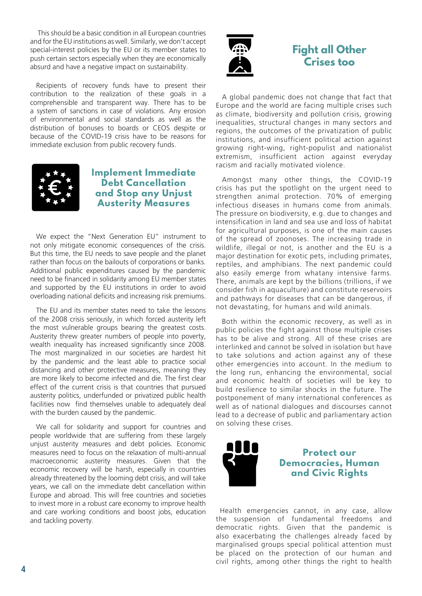This should be a basic condition in all European countries and for the EU institutions as well. Similarly, we don't accept special-interest policies by the EU or its member states to push certain sectors especially when they are economically absurd and have a negative impact on sustainability.

Recipients of recovery funds have to present their contribution to the realization of these goals in a comprehensible and transparent way. There has to be a system of sanctions in case of violations. Any erosion of environmental and social standards as well as the distribution of bonuses to boards or CEOS despite or because of the COVID-19 crisis have to be reasons for immediate exclusion from public recovery funds.



#### **Implement Immediate Debt Cancellation and Stop any Unjust Austerity Measures**

We expect the "Next Generation EU" instrument to not only mitigate economic consequences of the crisis. But this time, the EU needs to save people and the planet rather than focus on the bailouts of corporations or banks. Additional public expenditures caused by the pandemic need to be financed in solidarity among EU member states and supported by the EU institutions in order to avoid overloading national deficits and increasing risk premiums.

The EU and its member states need to take the lessons of the 2008 crisis seriously, in which forced austerity left the most vulnerable groups bearing the greatest costs. Austerity threw greater numbers of people into poverty, wealth inequality has increased significantly since 2008. The most marginalized in our societies are hardest hit by the pandemic and the least able to practice social distancing and other protective measures, meaning they are more likely to become infected and die. The first clear effect of the current crisis is that countries that pursued austerity politics, underfunded or privatized public health facilities now find themselves unable to adequately deal with the burden caused by the pandemic.

We call for solidarity and support for countries and people worldwide that are suffering from these largely unjust austerity measures and debt policies. Economic measures need to focus on the relaxation of multi-annual macroeconomic austerity measures. Given that the economic recovery will be harsh, especially in countries already threatened by the looming debt crisis, and will take years, we call on the immediate debt cancellation within Europe and abroad. This will free countries and societies to invest more in a robust care economy to improve health and care working conditions and boost jobs, education and tackling poverty.



## **Fight all Other Crises too**

A global pandemic does not change that fact that Europe and the world are facing multiple crises such as climate, biodiversity and pollution crisis, growing inequalities, structural changes in many sectors and regions, the outcomes of the privatization of public institutions, and insufficient political action against growing right-wing, right-populist and nationalist extremism, insufficient action against everyday racism and racially motivated violence.

Amongst many other things, the COVID-19 crisis has put the spotlight on the urgent need to strengthen animal protection. 70% of emerging infectious diseases in humans come from animals. The pressure on biodiversity, e.g. due to changes and intensification in land and sea use and loss of habitat for agricultural purposes, is one of the main causes of the spread of zoonoses. The increasing trade in wildlife, illegal or not, is another and the EU is a major destination for exotic pets, including primates, reptiles, and amphibians. The next pandemic could also easily emerge from whatany intensive farms. There, animals are kept by the billions (trillions, if we consider fish in aquaculture) and constitute reservoirs and pathways for diseases that can be dangerous, if not devastating, for humans and wild animals.

Both within the economic recovery, as well as in public policies the fight against those multiple crises has to be alive and strong. All of these crises are interlinked and cannot be solved in isolation but have to take solutions and action against any of these other emergencies into account. In the medium to the long run, enhancing the environmental, social and economic health of societies will be key to build resilience to similar shocks in the future. The postponement of many international conferences as well as of national dialogues and discourses cannot lead to a decrease of public and parliamentary action on solving these crises.



**Protect our Democracies, Human and Civic Rights**

Health emergencies cannot, in any case, allow the suspension of fundamental freedoms and democratic rights. Given that the pandemic is also exacerbating the challenges already faced by marginalised groups special political attention must be placed on the protection of our human and civil rights, among other things the right to health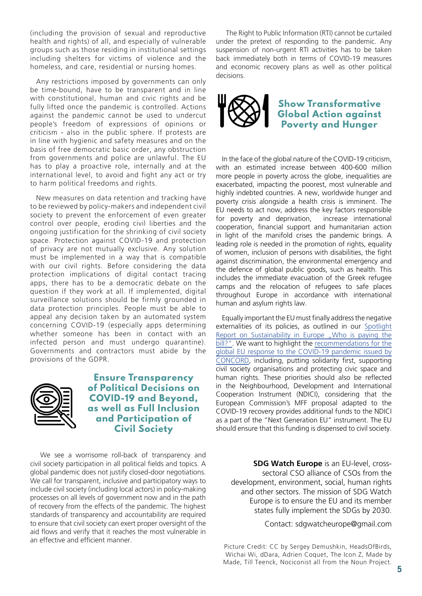(including the provision of sexual and reproductive health and rights) of all, and especially of vulnerable groups such as those residing in institutional settings including shelters for victims of violence and the homeless, and care, residential or nursing homes.

Any restrictions imposed by governments can only be time-bound, have to be transparent and in line with constitutional, human and civic rights and be fully lifted once the pandemic is controlled. Actions against the pandemic cannot be used to undercut people's freedom of expressions of opinions or criticism - also in the public sphere. If protests are in line with hygienic and safety measures and on the basis of free democratic basic order, any obstruction from governments and police are unlawful. The EU has to play a proactive role, internally and at the international level, to avoid and fight any act or try to harm political freedoms and rights.

New measures on data retention and tracking have to be reviewed by policy-makers and independent civil society to prevent the enforcement of even greater control over people, eroding civil liberties and the ongoing justification for the shrinking of civil society space. Protection against COVID-19 and protection of privacy are not mutually exclusive. Any solution must be implemented in a way that is compatible with our civil rights. Before considering the data protection implications of digital contact tracing apps, there has to be a democratic debate on the question if they work at all. If implemented, digital surveillance solutions should be firmly grounded in data protection principles. People must be able to appeal any decision taken by an automated system concerning COVID-19 (especially apps determining whether someone has been in contact with an infected person and must undergo quarantine). Governments and contractors must abide by the provisions of the GDPR.



#### **Ensure Transparency of Political Decisions on COVID-19 and Beyond, as well as Full Inclusion and Participation of Civil Society**

We see a worrisome roll-back of transparency and civil society participation in all political fields and topics. A global pandemic does not justify closed-door negotiations. We call for transparent, inclusive and participatory ways to include civil society (including local actors) in policy-making processes on all levels of government now and in the path of recovery from the effects of the pandemic. The highest standards of transparency and accountability are required to ensure that civil society can exert proper oversight of the aid flows and verify that it reaches the most vulnerable in an effective and efficient manner.

The Right to Public Information (RTI) cannot be curtailed under the pretext of responding to the pandemic. Any suspension of non-urgent RTI activities has to be taken back immediately both in terms of COVID-19 measures and economic recovery plans as well as other political decisions.



### **Show Transformative Global Action against Poverty and Hunger**

In the face of the global nature of the COVID-19 criticism, with an estimated increase between 400-600 million more people in poverty across the globe, inequalities are exacerbated, impacting the poorest, most vulnerable and highly indebted countries. A new, worldwide hunger and poverty crisis alongside a health crisis is imminent. The EU needs to act now, address the key factors responsible for poverty and deprivation, increase international cooperation, financial support and humanitarian action in light of the manifold crises the pandemic brings. A leading role is needed in the promotion of rights, equality of women, inclusion of persons with disabilities, the fight against discrimination, the environmental emergency and the defence of global public goods, such as health. This includes the immediate evacuation of the Greek refugee camps and the relocation of refugees to safe places throughout Europe in accordance with international human and asylum rights law.

Equally important the EU must finally address the negative externalities of its policies, as outlined in our Spotlight Report on Sustainability in Europe "Who is paying the bill?". We want to highlight the recommendations for the global EU response to the COVID-19 pandemic issued by CONCORD, including, putting solidarity first, supporting civil society organisations and protecting civic space and human rights. These priorities should also be reflected in the Neighbourhood, Development and International Cooperation Instrument (NDICI), considering that the European Commission's MFF proposal adapted to the COVID-19 recovery provides additional funds to the NDICI as a part of the "Next Generation EU" instrument. The EU should ensure that this funding is dispensed to civil society.

**SDG Watch Europe** is an EU-level, crosssectoral CSO alliance of CSOs from the development, environment, social, human rights and other sectors. The mission of SDG Watch Europe is to ensure the EU and its member states fully implement the SDGs by 2030.

Contact: sdgwatcheurope@gmail.com

Picture Credit: CC by Sergey Demushkin, HeadsOfBirds, Wichai Wi, dDara, Adrien Coquet, The Icon Z, Made by Made, Till Teenck, Nociconist all from the Noun Project.